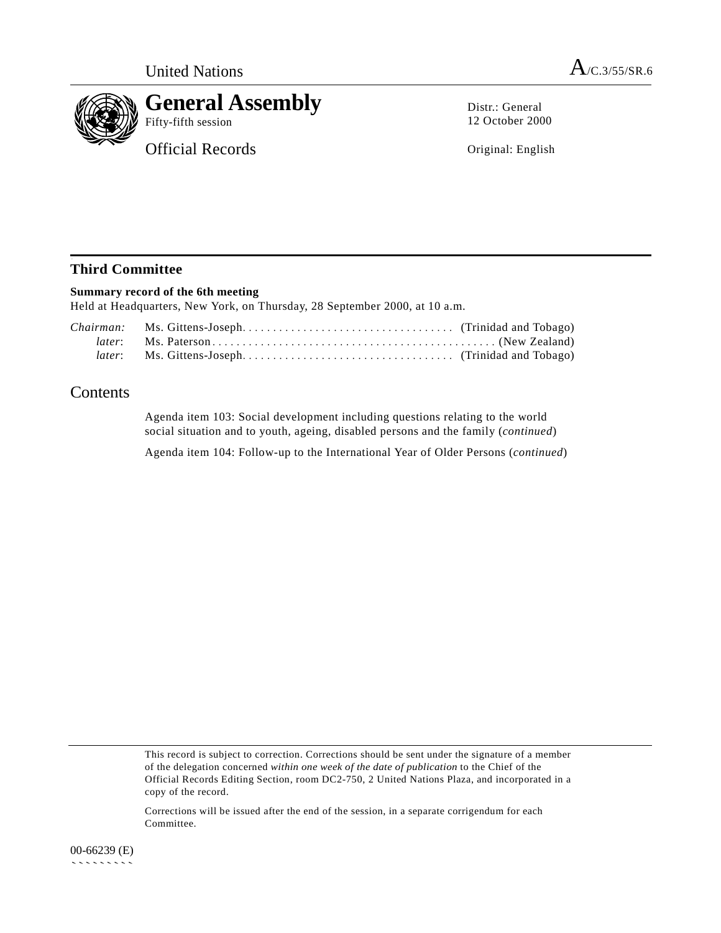

## **General Assembly**

Official Records

Distr.: General 12 October 2000

Original: English

## **Third Committee**

## **Summary record of the 6th meeting**

Held at Headquarters, New York, on Thursday, 28 September 2000, at 10 a.m.

## Contents

Agenda item 103: Social development including questions relating to the world social situation and to youth, ageing, disabled persons and the family (*continued*)

Agenda item 104: Follow-up to the International Year of Older Persons (*continued*)

This record is subject to correction. Corrections should be sent under the signature of a member of the delegation concerned *within one week of the date of publication* to the Chief of the Official Records Editing Section, room DC2-750, 2 United Nations Plaza, and incorporated in a copy of the record.

Corrections will be issued after the end of the session, in a separate corrigendum for each Committee.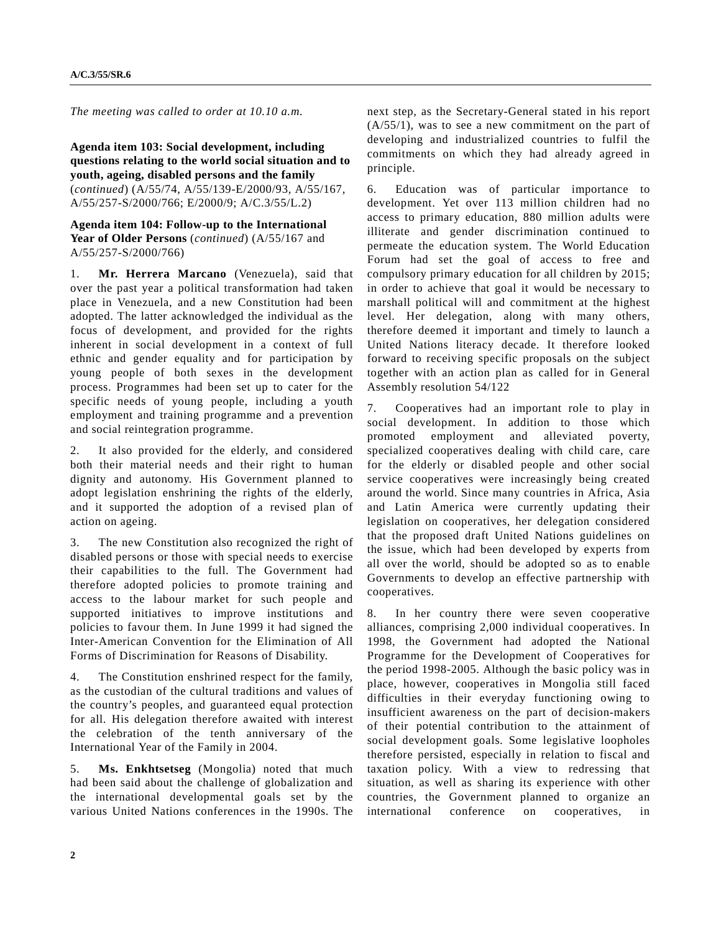*The meeting was called to order at 10.10 a.m.*

**Agenda item 103: Social development, including questions relating to the world social situation and to youth, ageing, disabled persons and the family** (*continued*) (A/55/74, A/55/139-E/2000/93, A/55/167, A/55/257-S/2000/766; E/2000/9; A/C.3/55/L.2)

**Agenda item 104: Follow-up to the International Year of Older Persons** (*continued*) (A/55/167 and A/55/257-S/2000/766)

1. **Mr. Herrera Marcano** (Venezuela), said that over the past year a political transformation had taken place in Venezuela, and a new Constitution had been adopted. The latter acknowledged the individual as the focus of development, and provided for the rights inherent in social development in a context of full ethnic and gender equality and for participation by young people of both sexes in the development process. Programmes had been set up to cater for the specific needs of young people, including a youth employment and training programme and a prevention and social reintegration programme.

2. It also provided for the elderly, and considered both their material needs and their right to human dignity and autonomy. His Government planned to adopt legislation enshrining the rights of the elderly, and it supported the adoption of a revised plan of action on ageing.

3. The new Constitution also recognized the right of disabled persons or those with special needs to exercise their capabilities to the full. The Government had therefore adopted policies to promote training and access to the labour market for such people and supported initiatives to improve institutions and policies to favour them. In June 1999 it had signed the Inter-American Convention for the Elimination of All Forms of Discrimination for Reasons of Disability.

4. The Constitution enshrined respect for the family, as the custodian of the cultural traditions and values of the country's peoples, and guaranteed equal protection for all. His delegation therefore awaited with interest the celebration of the tenth anniversary of the International Year of the Family in 2004.

5. **Ms. Enkhtsetseg** (Mongolia) noted that much had been said about the challenge of globalization and the international developmental goals set by the various United Nations conferences in the 1990s. The next step, as the Secretary-General stated in his report (A/55/1), was to see a new commitment on the part of developing and industrialized countries to fulfil the commitments on which they had already agreed in principle.

6. Education was of particular importance to development. Yet over 113 million children had no access to primary education, 880 million adults were illiterate and gender discrimination continued to permeate the education system. The World Education Forum had set the goal of access to free and compulsory primary education for all children by 2015; in order to achieve that goal it would be necessary to marshall political will and commitment at the highest level. Her delegation, along with many others, therefore deemed it important and timely to launch a United Nations literacy decade. It therefore looked forward to receiving specific proposals on the subject together with an action plan as called for in General Assembly resolution 54/122

7. Cooperatives had an important role to play in social development. In addition to those which promoted employment and alleviated poverty, specialized cooperatives dealing with child care, care for the elderly or disabled people and other social service cooperatives were increasingly being created around the world. Since many countries in Africa, Asia and Latin America were currently updating their legislation on cooperatives, her delegation considered that the proposed draft United Nations guidelines on the issue, which had been developed by experts from all over the world, should be adopted so as to enable Governments to develop an effective partnership with cooperatives.

8. In her country there were seven cooperative alliances, comprising 2,000 individual cooperatives. In 1998, the Government had adopted the National Programme for the Development of Cooperatives for the period 1998-2005. Although the basic policy was in place, however, cooperatives in Mongolia still faced difficulties in their everyday functioning owing to insufficient awareness on the part of decision-makers of their potential contribution to the attainment of social development goals. Some legislative loopholes therefore persisted, especially in relation to fiscal and taxation policy. With a view to redressing that situation, as well as sharing its experience with other countries, the Government planned to organize an international conference on cooperatives, in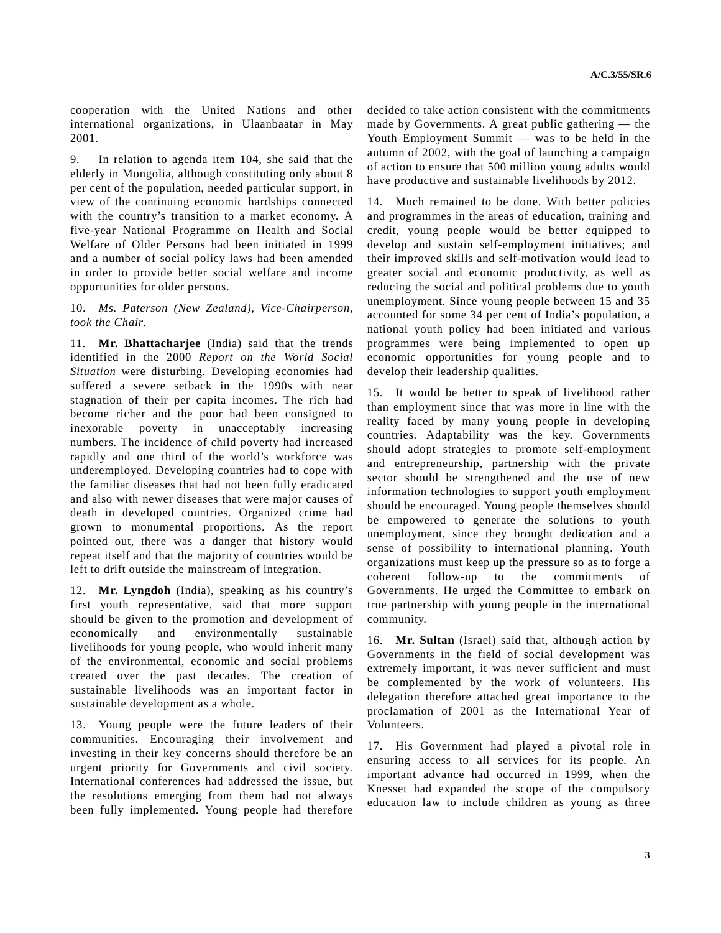cooperation with the United Nations and other international organizations, in Ulaanbaatar in May 2001.

9. In relation to agenda item 104, she said that the elderly in Mongolia, although constituting only about 8 per cent of the population, needed particular support, in view of the continuing economic hardships connected with the country's transition to a market economy. A five-year National Programme on Health and Social Welfare of Older Persons had been initiated in 1999 and a number of social policy laws had been amended in order to provide better social welfare and income opportunities for older persons.

10. *Ms. Paterson (New Zealand), Vice-Chairperson, took the Chair*.

11. **Mr. Bhattacharjee** (India) said that the trends identified in the 2000 *Report on the World Social Situation* were disturbing. Developing economies had suffered a severe setback in the 1990s with near stagnation of their per capita incomes. The rich had become richer and the poor had been consigned to inexorable poverty in unacceptably increasing numbers. The incidence of child poverty had increased rapidly and one third of the world's workforce was underemployed. Developing countries had to cope with the familiar diseases that had not been fully eradicated and also with newer diseases that were major causes of death in developed countries. Organized crime had grown to monumental proportions. As the report pointed out, there was a danger that history would repeat itself and that the majority of countries would be left to drift outside the mainstream of integration.

12. **Mr. Lyngdoh** (India), speaking as his country's first youth representative, said that more support should be given to the promotion and development of economically and environmentally sustainable livelihoods for young people, who would inherit many of the environmental, economic and social problems created over the past decades. The creation of sustainable livelihoods was an important factor in sustainable development as a whole.

13. Young people were the future leaders of their communities. Encouraging their involvement and investing in their key concerns should therefore be an urgent priority for Governments and civil society. International conferences had addressed the issue, but the resolutions emerging from them had not always been fully implemented. Young people had therefore

decided to take action consistent with the commitments made by Governments. A great public gathering — the Youth Employment Summit — was to be held in the autumn of 2002, with the goal of launching a campaign of action to ensure that 500 million young adults would have productive and sustainable livelihoods by 2012.

14. Much remained to be done. With better policies and programmes in the areas of education, training and credit, young people would be better equipped to develop and sustain self-employment initiatives; and their improved skills and self-motivation would lead to greater social and economic productivity, as well as reducing the social and political problems due to youth unemployment. Since young people between 15 and 35 accounted for some 34 per cent of India's population, a national youth policy had been initiated and various programmes were being implemented to open up economic opportunities for young people and to develop their leadership qualities.

15. It would be better to speak of livelihood rather than employment since that was more in line with the reality faced by many young people in developing countries. Adaptability was the key. Governments should adopt strategies to promote self-employment and entrepreneurship, partnership with the private sector should be strengthened and the use of new information technologies to support youth employment should be encouraged. Young people themselves should be empowered to generate the solutions to youth unemployment, since they brought dedication and a sense of possibility to international planning. Youth organizations must keep up the pressure so as to forge a coherent follow-up to the commitments of Governments. He urged the Committee to embark on true partnership with young people in the international community.

16. **Mr. Sultan** (Israel) said that, although action by Governments in the field of social development was extremely important, it was never sufficient and must be complemented by the work of volunteers. His delegation therefore attached great importance to the proclamation of 2001 as the International Year of Volunteers.

17. His Government had played a pivotal role in ensuring access to all services for its people. An important advance had occurred in 1999, when the Knesset had expanded the scope of the compulsory education law to include children as young as three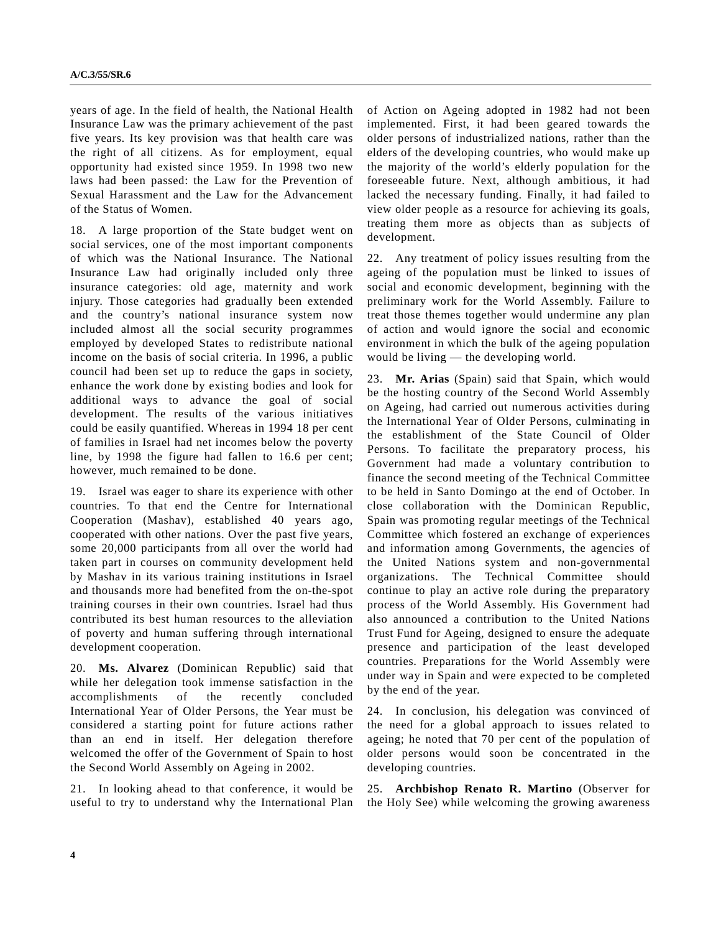years of age. In the field of health, the National Health Insurance Law was the primary achievement of the past five years. Its key provision was that health care was the right of all citizens. As for employment, equal opportunity had existed since 1959. In 1998 two new laws had been passed: the Law for the Prevention of Sexual Harassment and the Law for the Advancement of the Status of Women.

18. A large proportion of the State budget went on social services, one of the most important components of which was the National Insurance. The National Insurance Law had originally included only three insurance categories: old age, maternity and work injury. Those categories had gradually been extended and the country's national insurance system now included almost all the social security programmes employed by developed States to redistribute national income on the basis of social criteria. In 1996, a public council had been set up to reduce the gaps in society, enhance the work done by existing bodies and look for additional ways to advance the goal of social development. The results of the various initiatives could be easily quantified. Whereas in 1994 18 per cent of families in Israel had net incomes below the poverty line, by 1998 the figure had fallen to 16.6 per cent; however, much remained to be done.

19. Israel was eager to share its experience with other countries. To that end the Centre for International Cooperation (Mashav), established 40 years ago, cooperated with other nations. Over the past five years, some 20,000 participants from all over the world had taken part in courses on community development held by Mashav in its various training institutions in Israel and thousands more had benefited from the on-the-spot training courses in their own countries. Israel had thus contributed its best human resources to the alleviation of poverty and human suffering through international development cooperation.

20. **Ms. Alvarez** (Dominican Republic) said that while her delegation took immense satisfaction in the accomplishments of the recently concluded International Year of Older Persons, the Year must be considered a starting point for future actions rather than an end in itself. Her delegation therefore welcomed the offer of the Government of Spain to host the Second World Assembly on Ageing in 2002.

21. In looking ahead to that conference, it would be useful to try to understand why the International Plan of Action on Ageing adopted in 1982 had not been implemented. First, it had been geared towards the older persons of industrialized nations, rather than the elders of the developing countries, who would make up the majority of the world's elderly population for the foreseeable future. Next, although ambitious, it had lacked the necessary funding. Finally, it had failed to view older people as a resource for achieving its goals, treating them more as objects than as subjects of development.

22. Any treatment of policy issues resulting from the ageing of the population must be linked to issues of social and economic development, beginning with the preliminary work for the World Assembly. Failure to treat those themes together would undermine any plan of action and would ignore the social and economic environment in which the bulk of the ageing population would be living — the developing world.

23. **Mr. Arias** (Spain) said that Spain, which would be the hosting country of the Second World Assembly on Ageing, had carried out numerous activities during the International Year of Older Persons, culminating in the establishment of the State Council of Older Persons. To facilitate the preparatory process, his Government had made a voluntary contribution to finance the second meeting of the Technical Committee to be held in Santo Domingo at the end of October. In close collaboration with the Dominican Republic, Spain was promoting regular meetings of the Technical Committee which fostered an exchange of experiences and information among Governments, the agencies of the United Nations system and non-governmental organizations. The Technical Committee should continue to play an active role during the preparatory process of the World Assembly. His Government had also announced a contribution to the United Nations Trust Fund for Ageing, designed to ensure the adequate presence and participation of the least developed countries. Preparations for the World Assembly were under way in Spain and were expected to be completed by the end of the year.

24. In conclusion, his delegation was convinced of the need for a global approach to issues related to ageing; he noted that 70 per cent of the population of older persons would soon be concentrated in the developing countries.

25. **Archbishop Renato R. Martino** (Observer for the Holy See) while welcoming the growing awareness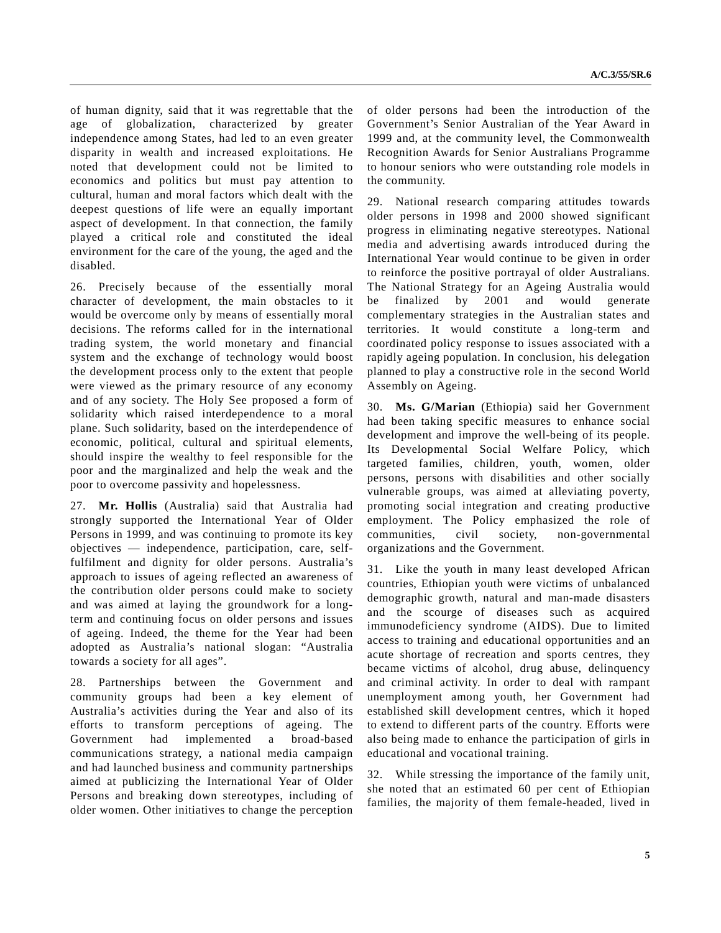of human dignity, said that it was regrettable that the age of globalization, characterized by greater independence among States, had led to an even greater disparity in wealth and increased exploitations. He noted that development could not be limited to economics and politics but must pay attention to cultural, human and moral factors which dealt with the deepest questions of life were an equally important aspect of development. In that connection, the family played a critical role and constituted the ideal environment for the care of the young, the aged and the disabled.

26. Precisely because of the essentially moral character of development, the main obstacles to it would be overcome only by means of essentially moral decisions. The reforms called for in the international trading system, the world monetary and financial system and the exchange of technology would boost the development process only to the extent that people were viewed as the primary resource of any economy and of any society. The Holy See proposed a form of solidarity which raised interdependence to a moral plane. Such solidarity, based on the interdependence of economic, political, cultural and spiritual elements, should inspire the wealthy to feel responsible for the poor and the marginalized and help the weak and the poor to overcome passivity and hopelessness.

27. **Mr. Hollis** (Australia) said that Australia had strongly supported the International Year of Older Persons in 1999, and was continuing to promote its key objectives — independence, participation, care, selffulfilment and dignity for older persons. Australia's approach to issues of ageing reflected an awareness of the contribution older persons could make to society and was aimed at laying the groundwork for a longterm and continuing focus on older persons and issues of ageing. Indeed, the theme for the Year had been adopted as Australia's national slogan: "Australia towards a society for all ages".

28. Partnerships between the Government and community groups had been a key element of Australia's activities during the Year and also of its efforts to transform perceptions of ageing. The Government had implemented a broad-based communications strategy, a national media campaign and had launched business and community partnerships aimed at publicizing the International Year of Older Persons and breaking down stereotypes, including of older women. Other initiatives to change the perception

of older persons had been the introduction of the Government's Senior Australian of the Year Award in 1999 and, at the community level, the Commonwealth Recognition Awards for Senior Australians Programme to honour seniors who were outstanding role models in the community.

29. National research comparing attitudes towards older persons in 1998 and 2000 showed significant progress in eliminating negative stereotypes. National media and advertising awards introduced during the International Year would continue to be given in order to reinforce the positive portrayal of older Australians. The National Strategy for an Ageing Australia would be finalized by 2001 and would generate complementary strategies in the Australian states and territories. It would constitute a long-term and coordinated policy response to issues associated with a rapidly ageing population. In conclusion, his delegation planned to play a constructive role in the second World Assembly on Ageing.

30. **Ms. G/Marian** (Ethiopia) said her Government had been taking specific measures to enhance social development and improve the well-being of its people. Its Developmental Social Welfare Policy, which targeted families, children, youth, women, older persons, persons with disabilities and other socially vulnerable groups, was aimed at alleviating poverty, promoting social integration and creating productive employment. The Policy emphasized the role of communities, civil society, non-governmental organizations and the Government.

31. Like the youth in many least developed African countries, Ethiopian youth were victims of unbalanced demographic growth, natural and man-made disasters and the scourge of diseases such as acquired immunodeficiency syndrome (AIDS). Due to limited access to training and educational opportunities and an acute shortage of recreation and sports centres, they became victims of alcohol, drug abuse, delinquency and criminal activity. In order to deal with rampant unemployment among youth, her Government had established skill development centres, which it hoped to extend to different parts of the country. Efforts were also being made to enhance the participation of girls in educational and vocational training.

32. While stressing the importance of the family unit, she noted that an estimated 60 per cent of Ethiopian families, the majority of them female-headed, lived in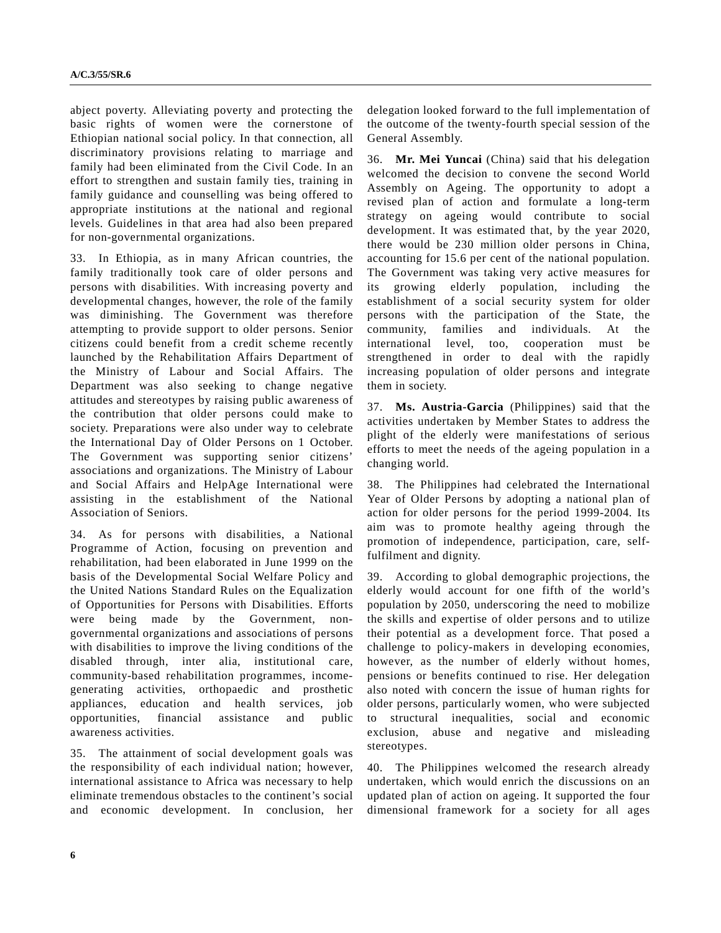abject poverty. Alleviating poverty and protecting the basic rights of women were the cornerstone of Ethiopian national social policy. In that connection, all discriminatory provisions relating to marriage and family had been eliminated from the Civil Code. In an effort to strengthen and sustain family ties, training in family guidance and counselling was being offered to appropriate institutions at the national and regional levels. Guidelines in that area had also been prepared for non-governmental organizations.

33. In Ethiopia, as in many African countries, the family traditionally took care of older persons and persons with disabilities. With increasing poverty and developmental changes, however, the role of the family was diminishing. The Government was therefore attempting to provide support to older persons. Senior citizens could benefit from a credit scheme recently launched by the Rehabilitation Affairs Department of the Ministry of Labour and Social Affairs. The Department was also seeking to change negative attitudes and stereotypes by raising public awareness of the contribution that older persons could make to society. Preparations were also under way to celebrate the International Day of Older Persons on 1 October. The Government was supporting senior citizens' associations and organizations. The Ministry of Labour and Social Affairs and HelpAge International were assisting in the establishment of the National Association of Seniors.

34. As for persons with disabilities, a National Programme of Action, focusing on prevention and rehabilitation, had been elaborated in June 1999 on the basis of the Developmental Social Welfare Policy and the United Nations Standard Rules on the Equalization of Opportunities for Persons with Disabilities. Efforts were being made by the Government, nongovernmental organizations and associations of persons with disabilities to improve the living conditions of the disabled through, inter alia, institutional care, community-based rehabilitation programmes, incomegenerating activities, orthopaedic and prosthetic appliances, education and health services, job opportunities, financial assistance and public awareness activities.

35. The attainment of social development goals was the responsibility of each individual nation; however, international assistance to Africa was necessary to help eliminate tremendous obstacles to the continent's social and economic development. In conclusion, her delegation looked forward to the full implementation of the outcome of the twenty-fourth special session of the General Assembly.

36. **Mr. Mei Yuncai** (China) said that his delegation welcomed the decision to convene the second World Assembly on Ageing. The opportunity to adopt a revised plan of action and formulate a long-term strategy on ageing would contribute to social development. It was estimated that, by the year 2020, there would be 230 million older persons in China, accounting for 15.6 per cent of the national population. The Government was taking very active measures for its growing elderly population, including the establishment of a social security system for older persons with the participation of the State, the community, families and individuals. At the international level, too, cooperation must be strengthened in order to deal with the rapidly increasing population of older persons and integrate them in society.

37. **Ms. Austria-Garcia** (Philippines) said that the activities undertaken by Member States to address the plight of the elderly were manifestations of serious efforts to meet the needs of the ageing population in a changing world.

38. The Philippines had celebrated the International Year of Older Persons by adopting a national plan of action for older persons for the period 1999-2004. Its aim was to promote healthy ageing through the promotion of independence, participation, care, selffulfilment and dignity.

39. According to global demographic projections, the elderly would account for one fifth of the world's population by 2050, underscoring the need to mobilize the skills and expertise of older persons and to utilize their potential as a development force. That posed a challenge to policy-makers in developing economies, however, as the number of elderly without homes, pensions or benefits continued to rise. Her delegation also noted with concern the issue of human rights for older persons, particularly women, who were subjected to structural inequalities, social and economic exclusion, abuse and negative and misleading stereotypes.

40. The Philippines welcomed the research already undertaken, which would enrich the discussions on an updated plan of action on ageing. It supported the four dimensional framework for a society for all ages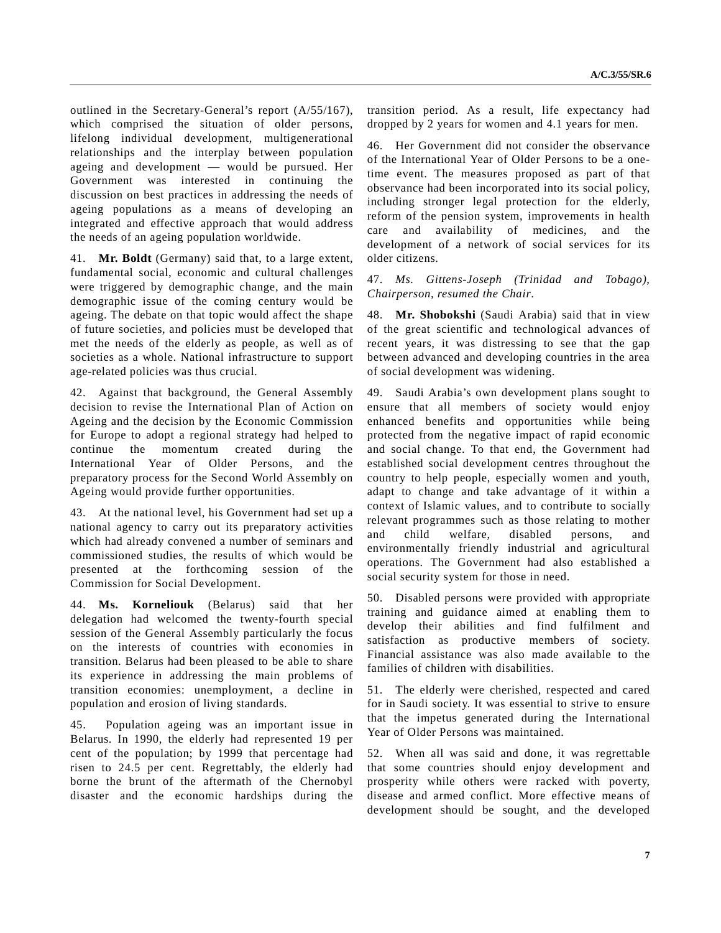outlined in the Secretary-General's report (A/55/167), which comprised the situation of older persons, lifelong individual development, multigenerational relationships and the interplay between population ageing and development — would be pursued. Her Government was interested in continuing the discussion on best practices in addressing the needs of ageing populations as a means of developing an integrated and effective approach that would address the needs of an ageing population worldwide.

41. **Mr. Boldt** (Germany) said that, to a large extent, fundamental social, economic and cultural challenges were triggered by demographic change, and the main demographic issue of the coming century would be ageing. The debate on that topic would affect the shape of future societies, and policies must be developed that met the needs of the elderly as people, as well as of societies as a whole. National infrastructure to support age-related policies was thus crucial.

42. Against that background, the General Assembly decision to revise the International Plan of Action on Ageing and the decision by the Economic Commission for Europe to adopt a regional strategy had helped to continue the momentum created during the International Year of Older Persons, and the preparatory process for the Second World Assembly on Ageing would provide further opportunities.

43. At the national level, his Government had set up a national agency to carry out its preparatory activities which had already convened a number of seminars and commissioned studies, the results of which would be presented at the forthcoming session of the Commission for Social Development.

44. **Ms. Korneliouk** (Belarus) said that her delegation had welcomed the twenty-fourth special session of the General Assembly particularly the focus on the interests of countries with economies in transition. Belarus had been pleased to be able to share its experience in addressing the main problems of transition economies: unemployment, a decline in population and erosion of living standards.

45. Population ageing was an important issue in Belarus. In 1990, the elderly had represented 19 per cent of the population; by 1999 that percentage had risen to 24.5 per cent. Regrettably, the elderly had borne the brunt of the aftermath of the Chernobyl disaster and the economic hardships during the transition period. As a result, life expectancy had dropped by 2 years for women and 4.1 years for men.

46. Her Government did not consider the observance of the International Year of Older Persons to be a onetime event. The measures proposed as part of that observance had been incorporated into its social policy, including stronger legal protection for the elderly, reform of the pension system, improvements in health care and availability of medicines, and the development of a network of social services for its older citizens.

47. *Ms. Gittens-Joseph (Trinidad and Tobago), Chairperson, resumed the Chair*.

48. **Mr. Shobokshi** (Saudi Arabia) said that in view of the great scientific and technological advances of recent years, it was distressing to see that the gap between advanced and developing countries in the area of social development was widening.

49. Saudi Arabia's own development plans sought to ensure that all members of society would enjoy enhanced benefits and opportunities while being protected from the negative impact of rapid economic and social change. To that end, the Government had established social development centres throughout the country to help people, especially women and youth, adapt to change and take advantage of it within a context of Islamic values, and to contribute to socially relevant programmes such as those relating to mother and child welfare, disabled persons, and environmentally friendly industrial and agricultural operations. The Government had also established a social security system for those in need.

50. Disabled persons were provided with appropriate training and guidance aimed at enabling them to develop their abilities and find fulfilment and satisfaction as productive members of society. Financial assistance was also made available to the families of children with disabilities.

51. The elderly were cherished, respected and cared for in Saudi society. It was essential to strive to ensure that the impetus generated during the International Year of Older Persons was maintained.

52. When all was said and done, it was regrettable that some countries should enjoy development and prosperity while others were racked with poverty, disease and armed conflict. More effective means of development should be sought, and the developed